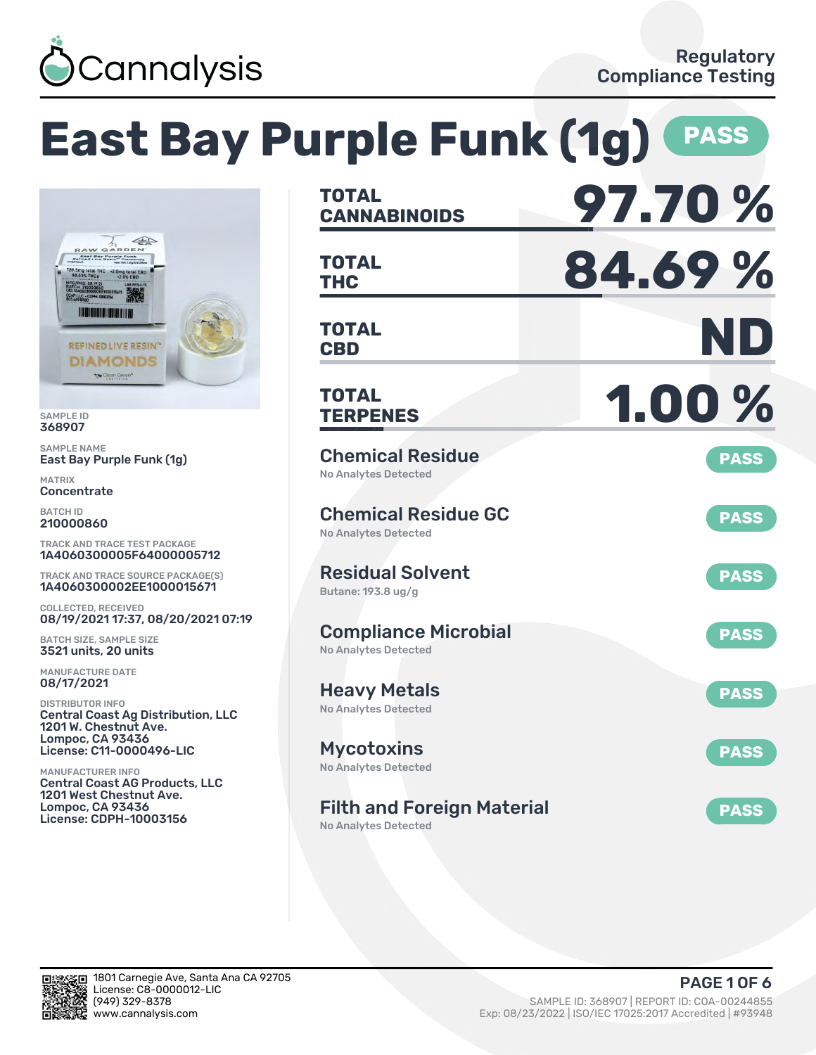

#### **East Bay Purple Funk (1g) PASS CANNABINOIDS 97.70 % TOTAL**  $\sqrt{2}$ **THC 84.69 % TOTAL CBD ND TOTAL REFINED LIVE RESIN®** DIAMONDS To Clean Green\* **TERPENES 1.00 % TOTAL** SAMPLE NAME Chemical Residue East Bay Purple Funk (1g) **PASS** No Analytes Detected **Concentrate** Chemical Residue GC **PASS** 210000860 No Analytes Detected TRACK AND TRACE TEST PACKAGE 1A4060300005F64000005712 Residual Solvent TRACK AND TRACE SOURCE PACKAGE(S) **PASS** 1A4060300002EE1000015671 Butane: 193.8 ug/g COLLECTED, RECEIVED 08/19/2021 17:37, 08/20/2021 07:19 Compliance Microbial **PASS** BATCH SIZE, SAMPLE SIZE No Analytes Detected 3521 units, 20 units MANUFACTURE DATE 08/17/2021 Heavy Metals **PASS** DISTRIBUTOR INFO No Analytes Detected Central Coast Ag Distribution, LLC 1201 W. Chestnut Ave. Lompoc, CA 93436 License: C11-0000496-LIC Mycotoxins **PASS** No Analytes Detected MANUFACTURER INFO Central Coast AG Products, LLC 1201 West Chestnut Ave.

Filth and Foreign Material

No Analytes Detected



Lompoc, CA 93436 License: CDPH-10003156

SAMPLE ID 368907

MATRIX

BATCH ID

**PASS**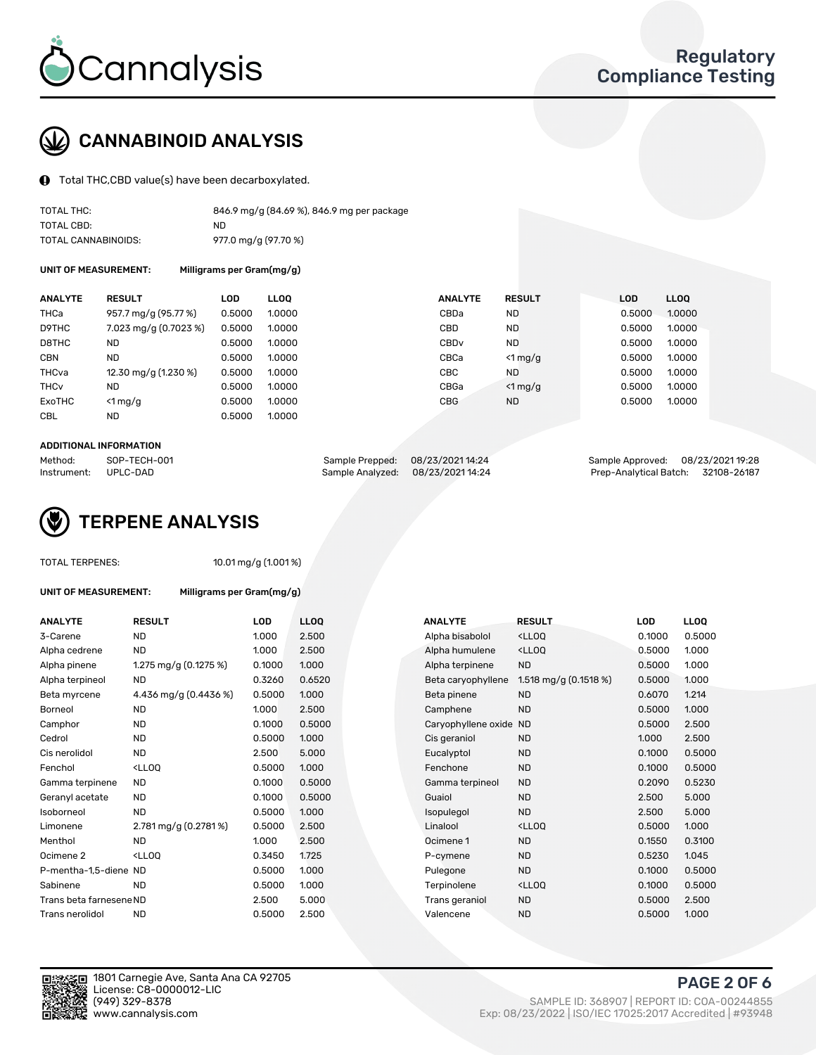

# CANNABINOID ANALYSIS

Total THC,CBD value(s) have been decarboxylated.

| TOTAL THC:          | 846.9 mg/g (84.69 %), 846.9 mg per package |
|---------------------|--------------------------------------------|
| TOTAL CBD:          | ND.                                        |
| TOTAL CANNABINOIDS: | 977.0 mg/g (97.70 %)                       |

UNIT OF MEASUREMENT: Milligrams per Gram(mg/g)

| <b>ANALYTE</b>         | <b>RESULT</b>         | <b>LOD</b> | <b>LLOO</b> | <b>ANALYTE</b>   | <b>RESULT</b> | <b>LOD</b> | LL <sub>00</sub> |
|------------------------|-----------------------|------------|-------------|------------------|---------------|------------|------------------|
| THCa                   | 957.7 mg/g (95.77 %)  | 0.5000     | 1.0000      | CBDa             | <b>ND</b>     | 0.5000     | 1.0000           |
| D9THC                  | 7.023 mg/g (0.7023 %) | 0.5000     | 1.0000      | CBD              | <b>ND</b>     | 0.5000     | 1.0000           |
| D8THC                  | <b>ND</b>             | 0.5000     | 1.0000      | CBD <sub>v</sub> | <b>ND</b>     | 0.5000     | 1.0000           |
| <b>CBN</b>             | <b>ND</b>             | 0.5000     | 1.0000      | CBCa             | $<$ 1 mg/g    | 0.5000     | 1.0000           |
| THCva                  | 12.30 mg/g (1.230 %)  | 0.5000     | 1.0000      | CBC              | <b>ND</b>     | 0.5000     | 1.0000           |
| <b>THC<sub>v</sub></b> | <b>ND</b>             | 0.5000     | 1.0000      | CBGa             | $<$ 1 mg/g    | 0.5000     | 1.0000           |
| ExoTHC                 | $<$ 1 mg/g            | 0.5000     | 1.0000      | <b>CBG</b>       | <b>ND</b>     | 0.5000     | 1.0000           |
| <b>CBL</b>             | <b>ND</b>             | 0.5000     | 1.0000      |                  |               |            |                  |

### ADDITIONAL INFORMATION

| Method:              | SOP-TECH-001 | Sample Prepped: 08/23/2021 14:24  | Sample Approved: 08/23/2021 19:28  |  |
|----------------------|--------------|-----------------------------------|------------------------------------|--|
| Instrument: UPLC-DAD |              | Sample Analyzed: 08/23/2021 14:24 | Prep-Analytical Batch: 32108-26187 |  |



### TOTAL TERPENES: 10.01 mg/g (1.001 %)

| <b>UNIT OF MEASUREMENT:</b> | Milligrams per Gram(mg/g)                                                                                          |        |                  |                        |                                                    |            |             |
|-----------------------------|--------------------------------------------------------------------------------------------------------------------|--------|------------------|------------------------|----------------------------------------------------|------------|-------------|
| <b>ANALYTE</b>              | <b>RESULT</b>                                                                                                      | LOD    | LL <sub>00</sub> | <b>ANALYTE</b>         | <b>RESULT</b>                                      | <b>LOD</b> | <b>LLOQ</b> |
| 3-Carene                    | <b>ND</b>                                                                                                          | 1.000  | 2.500            | Alpha bisabolol        | <ll0q< td=""><td>0.1000</td><td>0.500</td></ll0q<> | 0.1000     | 0.500       |
| Alpha cedrene               | <b>ND</b>                                                                                                          | 1.000  | 2.500            | Alpha humulene         | <lloq< td=""><td>0.5000</td><td>1.000</td></lloq<> | 0.5000     | 1.000       |
| Alpha pinene                | 1.275 mg/g (0.1275 %)                                                                                              | 0.1000 | 1.000            | Alpha terpinene        | <b>ND</b>                                          | 0.5000     | 1.000       |
| Alpha terpineol             | <b>ND</b>                                                                                                          | 0.3260 | 0.6520           | Beta caryophyllene     | 1.518 mg/g $(0.1518\%)$                            | 0.5000     | 1.000       |
| Beta myrcene                | 4.436 mg/g (0.4436 %)                                                                                              | 0.5000 | 1.000            | Beta pinene            | <b>ND</b>                                          | 0.6070     | 1.214       |
| Borneol                     | <b>ND</b>                                                                                                          | 1.000  | 2.500            | Camphene               | <b>ND</b>                                          | 0.5000     | 1.000       |
| Camphor                     | <b>ND</b>                                                                                                          | 0.1000 | 0.5000           | Caryophyllene oxide ND |                                                    | 0.5000     | 2.500       |
| Cedrol                      | <b>ND</b>                                                                                                          | 0.5000 | 1.000            | Cis geraniol           | <b>ND</b>                                          | 1.000      | 2.500       |
| Cis nerolidol               | <b>ND</b>                                                                                                          | 2.500  | 5.000            | Eucalyptol             | <b>ND</b>                                          | 0.1000     | 0.500       |
| Fenchol                     | <ll0q< td=""><td>0.5000</td><td>1.000</td><td>Fenchone</td><td><b>ND</b></td><td>0.1000</td><td>0.500</td></ll0q<> | 0.5000 | 1.000            | Fenchone               | <b>ND</b>                                          | 0.1000     | 0.500       |
| Gamma terpinene             | <b>ND</b>                                                                                                          | 0.1000 | 0.5000           | Gamma terpineol        | <b>ND</b>                                          | 0.2090     | 0.523       |
| Geranyl acetate             | <b>ND</b>                                                                                                          | 0.1000 | 0.5000           | Guaiol                 | <b>ND</b>                                          | 2.500      | 5.000       |
| Isoborneol                  | <b>ND</b>                                                                                                          | 0.5000 | 1.000            | Isopulegol             | <b>ND</b>                                          | 2.500      | 5.000       |
| Limonene                    | 2.781 mg/g (0.2781%)                                                                                               | 0.5000 | 2.500            | Linalool               | <ll0q< td=""><td>0.5000</td><td>1.000</td></ll0q<> | 0.5000     | 1.000       |
| Menthol                     | <b>ND</b>                                                                                                          | 1.000  | 2.500            | Ocimene 1              | <b>ND</b>                                          | 0.1550     | 0.310       |
| Ocimene <sub>2</sub>        | <lloq< td=""><td>0.3450</td><td>1.725</td><td>P-cymene</td><td><b>ND</b></td><td>0.5230</td><td>1.045</td></lloq<> | 0.3450 | 1.725            | P-cymene               | <b>ND</b>                                          | 0.5230     | 1.045       |
| P-mentha-1,5-diene ND       |                                                                                                                    | 0.5000 | 1.000            | Pulegone               | <b>ND</b>                                          | 0.1000     | 0.500       |
| Sabinene                    | <b>ND</b>                                                                                                          | 0.5000 | 1.000            | Terpinolene            | <ll0q< td=""><td>0.1000</td><td>0.500</td></ll0q<> | 0.1000     | 0.500       |
| Trans beta farnesene ND     |                                                                                                                    | 2.500  | 5.000            | Trans geraniol         | <b>ND</b>                                          | 0.5000     | 2.500       |
| Trans nerolidol             | <b>ND</b>                                                                                                          | 0.5000 | 2.500            | Valencene              | <b>ND</b>                                          | 0.5000     | 1.000       |
|                             |                                                                                                                    |        |                  |                        |                                                    |            |             |

| <b>ANALYTE</b>          | <b>RESULT</b>                                                                                                       | LOD    | <b>LLOQ</b> | <b>ANALYTE</b>         | <b>RESULT</b>                                       | LOD    | <b>LLOQ</b> |
|-------------------------|---------------------------------------------------------------------------------------------------------------------|--------|-------------|------------------------|-----------------------------------------------------|--------|-------------|
| 3-Carene                | <b>ND</b>                                                                                                           | 1.000  | 2.500       | Alpha bisabolol        | <lloq< td=""><td>0.1000</td><td>0.5000</td></lloq<> | 0.1000 | 0.5000      |
| Alpha cedrene           | <b>ND</b>                                                                                                           | 1.000  | 2.500       | Alpha humulene         | <lloq< td=""><td>0.5000</td><td>1.000</td></lloq<>  | 0.5000 | 1.000       |
| Alpha pinene            | 1.275 mg/g $(0.1275%)$                                                                                              | 0.1000 | 1.000       | Alpha terpinene        | <b>ND</b>                                           | 0.5000 | 1.000       |
| Alpha terpineol         | <b>ND</b>                                                                                                           | 0.3260 | 0.6520      | Beta caryophyllene     | 1.518 mg/g (0.1518 %)                               | 0.5000 | 1.000       |
| Beta myrcene            | 4.436 mg/g (0.4436 %)                                                                                               | 0.5000 | 1.000       | Beta pinene            | <b>ND</b>                                           | 0.6070 | 1.214       |
| Borneol                 | <b>ND</b>                                                                                                           | 1.000  | 2.500       | Camphene               | <b>ND</b>                                           | 0.5000 | 1.000       |
| Camphor                 | <b>ND</b>                                                                                                           | 0.1000 | 0.5000      | Caryophyllene oxide ND |                                                     | 0.5000 | 2.500       |
| Cedrol                  | <b>ND</b>                                                                                                           | 0.5000 | 1.000       | Cis geraniol           | ND.                                                 | 1.000  | 2.500       |
| Cis nerolidol           | <b>ND</b>                                                                                                           | 2.500  | 5.000       | Eucalyptol             | <b>ND</b>                                           | 0.1000 | 0.5000      |
| Fenchol                 | <lloq< td=""><td>0.5000</td><td>1.000</td><td>Fenchone</td><td><b>ND</b></td><td>0.1000</td><td>0.5000</td></lloq<> | 0.5000 | 1.000       | Fenchone               | <b>ND</b>                                           | 0.1000 | 0.5000      |
| Gamma terpinene         | <b>ND</b>                                                                                                           | 0.1000 | 0.5000      | Gamma terpineol        | <b>ND</b>                                           | 0.2090 | 0.5230      |
| Geranyl acetate         | <b>ND</b>                                                                                                           | 0.1000 | 0.5000      | Guaiol                 | <b>ND</b>                                           | 2.500  | 5.000       |
| Isoborneol              | <b>ND</b>                                                                                                           | 0.5000 | 1.000       | Isopulegol             | <b>ND</b>                                           | 2.500  | 5.000       |
| Limonene                | $2.781 \,\mathrm{mg/g}$ (0.2781%)                                                                                   | 0.5000 | 2.500       | Linalool               | <lloq< td=""><td>0.5000</td><td>1.000</td></lloq<>  | 0.5000 | 1.000       |
| Menthol                 | <b>ND</b>                                                                                                           | 1.000  | 2.500       | Ocimene 1              | <b>ND</b>                                           | 0.1550 | 0.3100      |
| Ocimene 2               | <lloq< td=""><td>0.3450</td><td>1.725</td><td>P-cymene</td><td><b>ND</b></td><td>0.5230</td><td>1.045</td></lloq<>  | 0.3450 | 1.725       | P-cymene               | <b>ND</b>                                           | 0.5230 | 1.045       |
| P-mentha-1,5-diene ND   |                                                                                                                     | 0.5000 | 1.000       | Pulegone               | <b>ND</b>                                           | 0.1000 | 0.5000      |
| Sabinene                | <b>ND</b>                                                                                                           | 0.5000 | 1.000       | Terpinolene            | <lloq< td=""><td>0.1000</td><td>0.5000</td></lloq<> | 0.1000 | 0.5000      |
| Trans beta farnesene ND |                                                                                                                     | 2.500  | 5.000       | Trans geraniol         | <b>ND</b>                                           | 0.5000 | 2.500       |
| Trans nerolidol         | ND                                                                                                                  | 0.5000 | 2.500       | Valencene              | <b>ND</b>                                           | 0.5000 | 1.000       |
|                         |                                                                                                                     |        |             |                        |                                                     |        |             |



PAGE 2 OF 6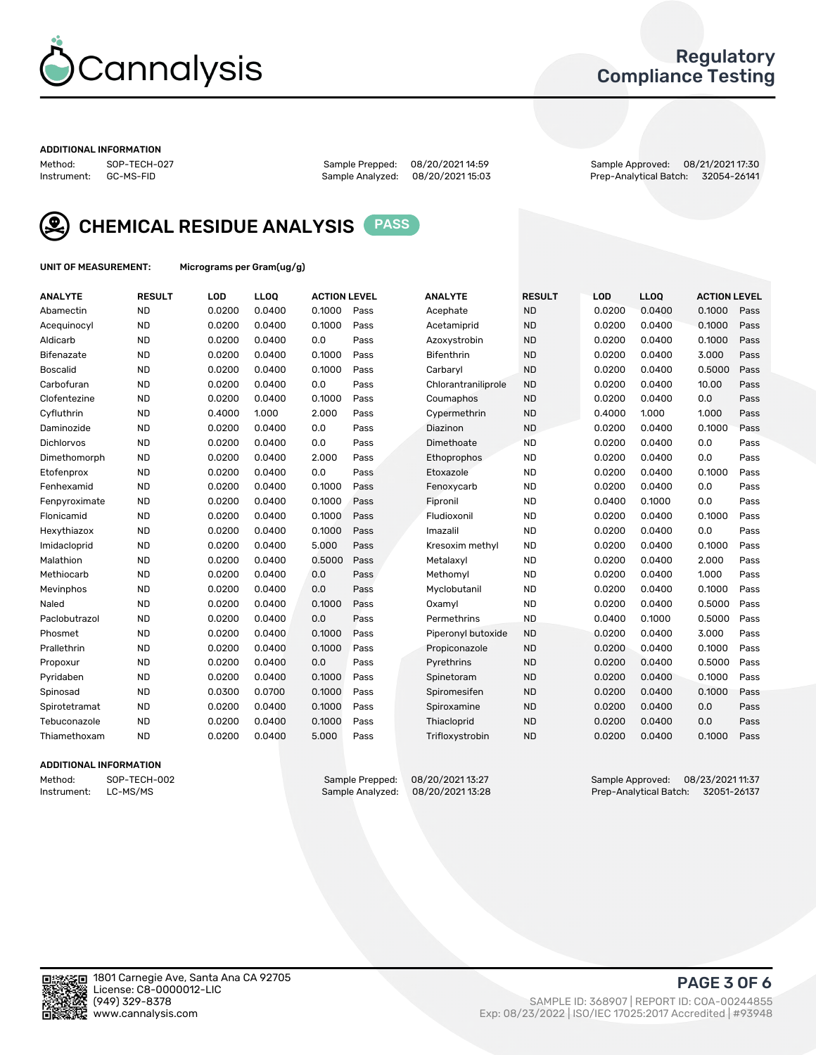

### Regulatory Compliance Testing

#### ADDITIONAL INFORMATION

Sample Analyzed: 08/20/2021 15:03

Method: SOP-TECH-027 Sample Prepped: 08/20/2021 14:59 Sample Approved: 08/21/2021 17:30



CHEMICAL RESIDUE ANALYSIS PASS

UNIT OF MEASUREMENT: Micrograms per Gram(ug/g)

| <b>ANALYTE</b>    | <b>RESULT</b> | LOD    | LLOQ   | <b>ACTION LEVEL</b> |      | <b>ANALYTE</b>      | <b>RESULT</b> | <b>LOD</b> | <b>LLOQ</b> | <b>ACTION LEVEL</b> |      |
|-------------------|---------------|--------|--------|---------------------|------|---------------------|---------------|------------|-------------|---------------------|------|
| Abamectin         | <b>ND</b>     | 0.0200 | 0.0400 | 0.1000              | Pass | Acephate            | <b>ND</b>     | 0.0200     | 0.0400      | 0.1000              | Pass |
| Acequinocyl       | <b>ND</b>     | 0.0200 | 0.0400 | 0.1000              | Pass | Acetamiprid         | <b>ND</b>     | 0.0200     | 0.0400      | 0.1000              | Pass |
| Aldicarb          | <b>ND</b>     | 0.0200 | 0.0400 | 0.0                 | Pass | Azoxystrobin        | <b>ND</b>     | 0.0200     | 0.0400      | 0.1000              | Pass |
| Bifenazate        | <b>ND</b>     | 0.0200 | 0.0400 | 0.1000              | Pass | <b>Bifenthrin</b>   | <b>ND</b>     | 0.0200     | 0.0400      | 3.000               | Pass |
| <b>Boscalid</b>   | <b>ND</b>     | 0.0200 | 0.0400 | 0.1000              | Pass | Carbarvl            | <b>ND</b>     | 0.0200     | 0.0400      | 0.5000              | Pass |
| Carbofuran        | <b>ND</b>     | 0.0200 | 0.0400 | 0.0                 | Pass | Chlorantraniliprole | <b>ND</b>     | 0.0200     | 0.0400      | 10.00               | Pass |
| Clofentezine      | <b>ND</b>     | 0.0200 | 0.0400 | 0.1000              | Pass | Coumaphos           | <b>ND</b>     | 0.0200     | 0.0400      | 0.0                 | Pass |
| Cyfluthrin        | <b>ND</b>     | 0.4000 | 1.000  | 2.000               | Pass | Cypermethrin        | <b>ND</b>     | 0.4000     | 1.000       | 1.000               | Pass |
| Daminozide        | <b>ND</b>     | 0.0200 | 0.0400 | 0.0                 | Pass | Diazinon            | <b>ND</b>     | 0.0200     | 0.0400      | 0.1000              | Pass |
| <b>Dichlorvos</b> | <b>ND</b>     | 0.0200 | 0.0400 | 0.0                 | Pass | Dimethoate          | <b>ND</b>     | 0.0200     | 0.0400      | 0.0                 | Pass |
| Dimethomorph      | <b>ND</b>     | 0.0200 | 0.0400 | 2.000               | Pass | <b>Ethoprophos</b>  | <b>ND</b>     | 0.0200     | 0.0400      | 0.0                 | Pass |
| Etofenprox        | <b>ND</b>     | 0.0200 | 0.0400 | 0.0                 | Pass | Etoxazole           | <b>ND</b>     | 0.0200     | 0.0400      | 0.1000              | Pass |
| Fenhexamid        | <b>ND</b>     | 0.0200 | 0.0400 | 0.1000              | Pass | Fenoxycarb          | <b>ND</b>     | 0.0200     | 0.0400      | 0.0                 | Pass |
| Fenpyroximate     | <b>ND</b>     | 0.0200 | 0.0400 | 0.1000              | Pass | Fipronil            | <b>ND</b>     | 0.0400     | 0.1000      | 0.0                 | Pass |
| Flonicamid        | <b>ND</b>     | 0.0200 | 0.0400 | 0.1000              | Pass | Fludioxonil         | <b>ND</b>     | 0.0200     | 0.0400      | 0.1000              | Pass |
| Hexythiazox       | <b>ND</b>     | 0.0200 | 0.0400 | 0.1000              | Pass | Imazalil            | <b>ND</b>     | 0.0200     | 0.0400      | 0.0                 | Pass |
| Imidacloprid      | <b>ND</b>     | 0.0200 | 0.0400 | 5.000               | Pass | Kresoxim methyl     | <b>ND</b>     | 0.0200     | 0.0400      | 0.1000              | Pass |
| Malathion         | <b>ND</b>     | 0.0200 | 0.0400 | 0.5000              | Pass | Metalaxyl           | <b>ND</b>     | 0.0200     | 0.0400      | 2.000               | Pass |
| Methiocarb        | <b>ND</b>     | 0.0200 | 0.0400 | 0.0                 | Pass | Methomyl            | <b>ND</b>     | 0.0200     | 0.0400      | 1.000               | Pass |
| Mevinphos         | <b>ND</b>     | 0.0200 | 0.0400 | 0.0                 | Pass | Myclobutanil        | <b>ND</b>     | 0.0200     | 0.0400      | 0.1000              | Pass |
| Naled             | <b>ND</b>     | 0.0200 | 0.0400 | 0.1000              | Pass | Oxamyl              | <b>ND</b>     | 0.0200     | 0.0400      | 0.5000              | Pass |
| Paclobutrazol     | <b>ND</b>     | 0.0200 | 0.0400 | 0.0                 | Pass | Permethrins         | <b>ND</b>     | 0.0400     | 0.1000      | 0.5000              | Pass |
| Phosmet           | <b>ND</b>     | 0.0200 | 0.0400 | 0.1000              | Pass | Piperonyl butoxide  | <b>ND</b>     | 0.0200     | 0.0400      | 3.000               | Pass |
| Prallethrin       | <b>ND</b>     | 0.0200 | 0.0400 | 0.1000              | Pass | Propiconazole       | <b>ND</b>     | 0.0200     | 0.0400      | 0.1000              | Pass |
| Propoxur          | <b>ND</b>     | 0.0200 | 0.0400 | 0.0                 | Pass | Pyrethrins          | <b>ND</b>     | 0.0200     | 0.0400      | 0.5000              | Pass |
| Pyridaben         | <b>ND</b>     | 0.0200 | 0.0400 | 0.1000              | Pass | Spinetoram          | <b>ND</b>     | 0.0200     | 0.0400      | 0.1000              | Pass |
| Spinosad          | <b>ND</b>     | 0.0300 | 0.0700 | 0.1000              | Pass | Spiromesifen        | <b>ND</b>     | 0.0200     | 0.0400      | 0.1000              | Pass |
| Spirotetramat     | <b>ND</b>     | 0.0200 | 0.0400 | 0.1000              | Pass | Spiroxamine         | <b>ND</b>     | 0.0200     | 0.0400      | 0.0                 | Pass |
| Tebuconazole      | <b>ND</b>     | 0.0200 | 0.0400 | 0.1000              | Pass | Thiacloprid         | <b>ND</b>     | 0.0200     | 0.0400      | 0.0                 | Pass |
| Thiamethoxam      | <b>ND</b>     | 0.0200 | 0.0400 | 5.000               | Pass | Trifloxystrobin     | <b>ND</b>     | 0.0200     | 0.0400      | 0.1000              | Pass |

### ADDITIONAL INFORMATION

Method: SOP-TECH-002 Sample Prepped: 08/20/202113:27<br>Instrument: LC-MS/MS Sample Analyzed: 08/20/202113:28 Prep-Analytical Batch: 32051-26137 Prep-Analytical Batch: 32051-26137

PAGE 3 OF 6

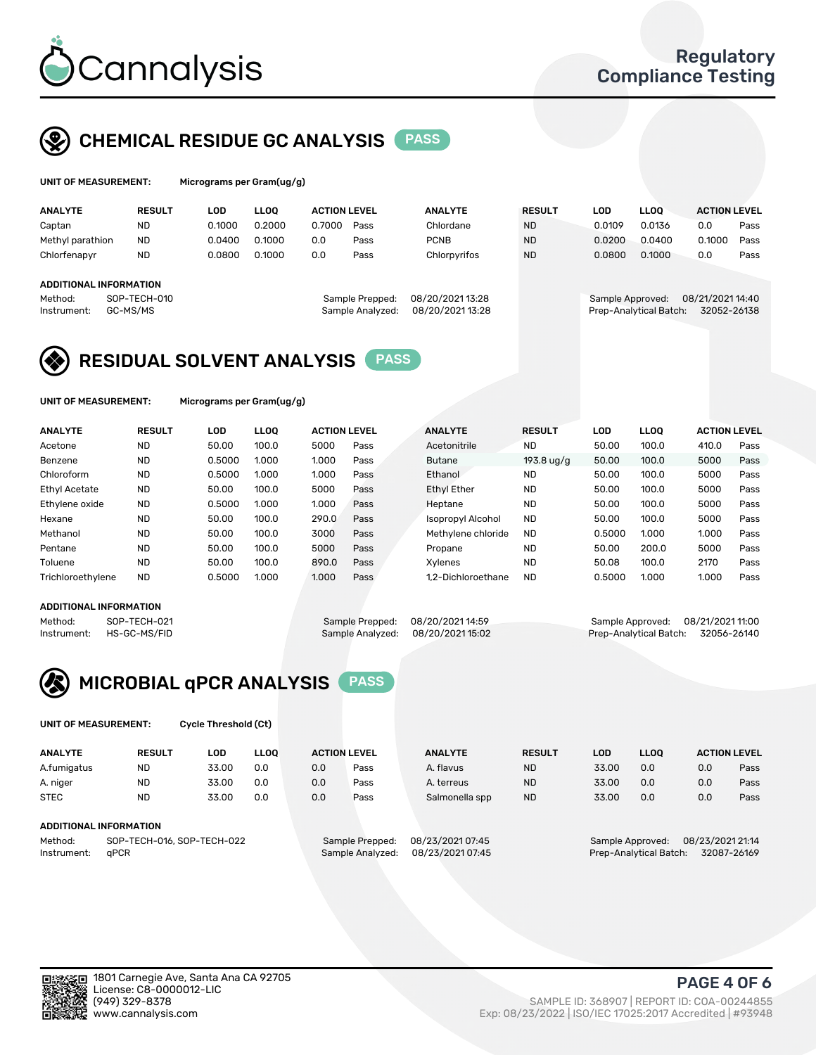

## CHEMICAL RESIDUE GC ANALYSIS PASS

| UNIT OF MEASUREMENT: | Mic |
|----------------------|-----|
|                      |     |

rograms per Gram(ug/g)

| <b>ANALYTE</b>          | <b>RESULT</b> | LOD    | <b>LLOO</b>      | <b>ACTION LEVEL</b> |                 | <b>ANALYTE</b>  | <b>RESULT</b>          | LOD              | <b>LLOO</b> | <b>ACTION LEVEL</b> |      |
|-------------------------|---------------|--------|------------------|---------------------|-----------------|-----------------|------------------------|------------------|-------------|---------------------|------|
| Captan                  | <b>ND</b>     | 0.1000 | 0.2000           | 0.7000              | Pass            | Chlordane       | <b>ND</b>              | 0.0109           | 0.0136      | 0.0                 | Pass |
| Methyl parathion        | <b>ND</b>     | 0.0400 | 0.1000           | 0.0                 | Pass            | <b>PCNB</b>     | <b>ND</b>              | 0.0200           | 0.0400      | 0.1000              | Pass |
| Chlorfenapyr            | <b>ND</b>     | 0.0800 | 0.1000           | 0.0                 | Pass            | Chlorpyrifos    | <b>ND</b>              | 0.0800           | 0.1000      | 0.0                 | Pass |
|                         |               |        |                  |                     |                 |                 |                        |                  |             |                     |      |
| ADDITIONAL INFORMATION  |               |        |                  |                     |                 |                 |                        |                  |             |                     |      |
| Method:                 | SOP-TECH-010  |        |                  |                     | Sample Prepped: | 08/20/202113:28 |                        | Sample Approved: |             | 08/21/2021 14:40    |      |
| GC-MS/MS<br>Instrument: |               |        | Sample Analyzed: | 08/20/2021 13:28    |                 |                 | Prep-Analytical Batch: | 32052-26138      |             |                     |      |
|                         |               |        |                  |                     |                 |                 |                        |                  |             |                     |      |

## RESIDUAL SOLVENT ANALYSIS PASS

UNIT OF MEASUREMENT: Micrograms per Gram(ug/g)

| <b>ANALYTE</b>       | <b>RESULT</b> | LOD    | <b>LLOO</b> | <b>ACTION LEVEL</b> |      | <b>ANALYTE</b>           | <b>RESULT</b>        | LOD    | LLOO  | <b>ACTION LEVEL</b> |      |
|----------------------|---------------|--------|-------------|---------------------|------|--------------------------|----------------------|--------|-------|---------------------|------|
| Acetone              | <b>ND</b>     | 50.00  | 100.0       | 5000                | Pass | Acetonitrile             | <b>ND</b>            | 50.00  | 100.0 | 410.0               | Pass |
| Benzene              | <b>ND</b>     | 0.5000 | 1.000       | 1.000               | Pass | <b>Butane</b>            | $193.8 \text{ uq/q}$ | 50.00  | 100.0 | 5000                | Pass |
| Chloroform           | <b>ND</b>     | 0.5000 | 1.000       | 1.000               | Pass | Ethanol                  | <b>ND</b>            | 50.00  | 100.0 | 5000                | Pass |
| <b>Ethyl Acetate</b> | <b>ND</b>     | 50.00  | 100.0       | 5000                | Pass | <b>Ethyl Ether</b>       | <b>ND</b>            | 50.00  | 100.0 | 5000                | Pass |
| Ethylene oxide       | <b>ND</b>     | 0.5000 | 1.000       | 1.000               | Pass | Heptane                  | <b>ND</b>            | 50.00  | 100.0 | 5000                | Pass |
| Hexane               | <b>ND</b>     | 50.00  | 100.0       | 290.0               | Pass | <b>Isopropyl Alcohol</b> | <b>ND</b>            | 50.00  | 100.0 | 5000                | Pass |
| Methanol             | <b>ND</b>     | 50.00  | 100.0       | 3000                | Pass | Methylene chloride       | <b>ND</b>            | 0.5000 | 1.000 | 1.000               | Pass |
| Pentane              | <b>ND</b>     | 50.00  | 100.0       | 5000                | Pass | Propane                  | <b>ND</b>            | 50.00  | 200.0 | 5000                | Pass |
| Toluene              | <b>ND</b>     | 50.00  | 100.0       | 890.0               | Pass | Xvlenes                  | <b>ND</b>            | 50.08  | 100.0 | 2170                | Pass |
| Trichloroethylene    | <b>ND</b>     | 0.5000 | 1.000       | 1.000               | Pass | 1.2-Dichloroethane       | <b>ND</b>            | 0.5000 | 1.000 | 1.000               | Pass |

### ADDITIONAL INFORMATION

|             | AUDITIONAL INFORMATION |                                   |                                    |  |
|-------------|------------------------|-----------------------------------|------------------------------------|--|
| Method:     | SOP-TECH-021           | Sample Prepped: 08/20/202114:59   | Sample Approved: 08/21/2021 11:00  |  |
| Instrument: | HS-GC-MS/FID           | Sample Analyzed: 08/20/2021 15:02 | Prep-Analytical Batch: 32056-26140 |  |



UNIT OF MEASUREMENT: Cycle Threshold (Ct)

| <b>ANALYTE</b>                        | <b>RESULT</b> | LOD   | <b>LLOO</b> | <b>ACTION LEVEL</b> |                 | <b>ANALYTE</b>   | <b>RESULT</b> | LOD   | <b>LLOO</b>      |                  | <b>ACTION LEVEL</b> |
|---------------------------------------|---------------|-------|-------------|---------------------|-----------------|------------------|---------------|-------|------------------|------------------|---------------------|
| A.fumigatus                           | <b>ND</b>     | 33.00 | 0.0         | 0.0                 | Pass            | A. flavus        | <b>ND</b>     | 33.00 | 0.0              | 0.0              | Pass                |
| A. niger                              | <b>ND</b>     | 33.00 | 0.0         | 0.0                 | Pass            | A. terreus       | <b>ND</b>     | 33.00 | 0.0              | 0.0              | Pass                |
| <b>STEC</b>                           | <b>ND</b>     | 33.00 | 0.0         | 0.0                 | Pass            | Salmonella spp   | <b>ND</b>     | 33.00 | 0.0              | 0.0              | Pass                |
| ADDITIONAL INFORMATION                |               |       |             |                     |                 |                  |               |       |                  |                  |                     |
| Method:<br>SOP-TECH-016, SOP-TECH-022 |               |       |             |                     | Sample Prepped: | 08/23/2021 07:45 |               |       | Sample Approved: | 08/23/2021 21:14 |                     |

Instrument: qPCR Sample Analyzed: 08/23/2021 07:45 Prep-Analytical Batch: 32087-26169

PAGE 4 OF 6

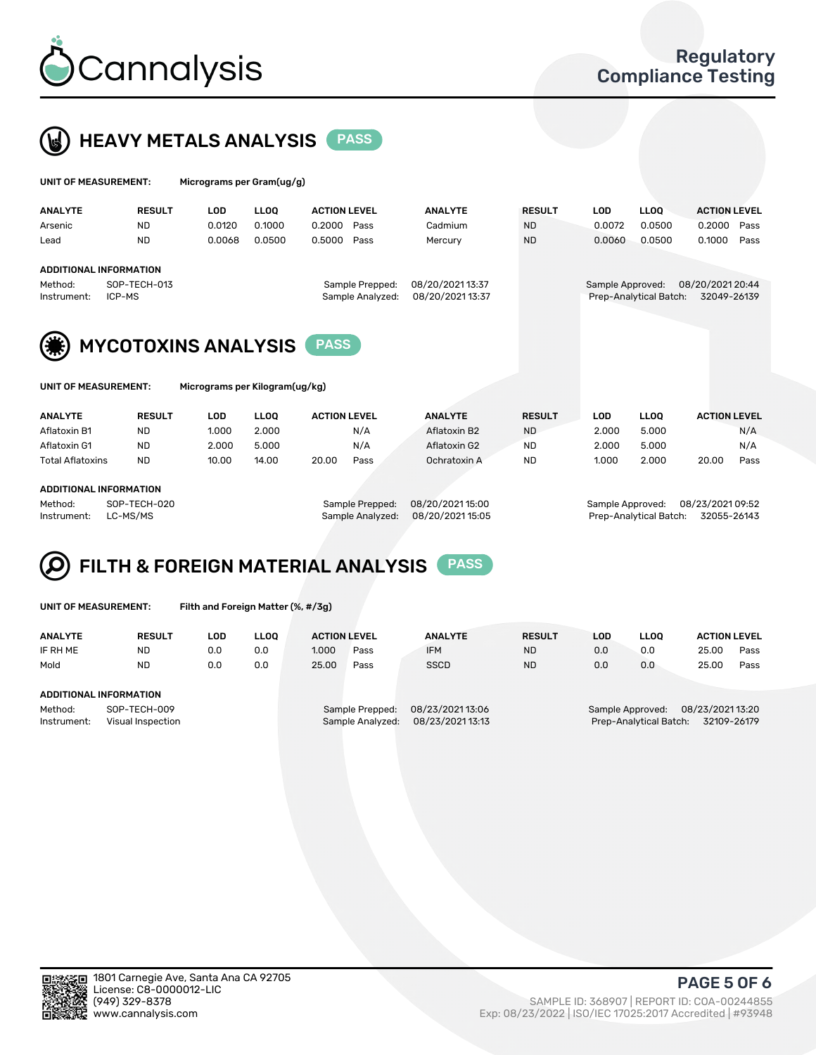



| <b>UNIT OF MEASUREMENT:</b> |               | Micrograms per Gram(ug/g) |             |                     |                |               |        |             |                     |      |
|-----------------------------|---------------|---------------------------|-------------|---------------------|----------------|---------------|--------|-------------|---------------------|------|
| ANALYTE                     | <b>RESULT</b> | LOD                       | <b>LLOO</b> | <b>ACTION LEVEL</b> | <b>ANALYTE</b> | <b>RESULT</b> | LOD    | <b>LLOO</b> | <b>ACTION LEVEL</b> |      |
| Arsenic                     | <b>ND</b>     | 0.0120                    | 0.1000      | 0.2000 Pass         | Cadmium        | <b>ND</b>     | 0.0072 | 0.0500      | 0.2000              | Pass |
| Lead                        | <b>ND</b>     | 0.0068                    | 0.0500      | 0.5000 Pass         | Mercury        | <b>ND</b>     | 0.0060 | 0.0500      | 0.1000              | Pass |
| ADDITIONAL INFORMATION      |               |                           |             |                     |                |               |        |             |                     |      |
|                             | .             |                           |             |                     |                |               |        |             | .                   |      |

### ADDITIONAL INFORMATION

Method: SOP-TECH-013 Sample Prepped: 08/20/2021 13:37 Sample Approved: 08/20/2021 20:44 Instrument: ICP-MS Sample Analyzed: 08/20/2021 13:37 Prep-Analytical Batch: 32049-26139

MYCOTOXINS ANALYSIS PASS

NT: Micrograms per Kilogram(ug/kg)

| <b>ANALYTE</b>          | <b>RESULT</b> | LOD   | <b>LLOO</b> | <b>ACTION LEVEL</b> |      | <b>ANALYTE</b> | <b>RESULT</b> | LOD   | <b>LLOO</b> |       | <b>ACTION LEVEL</b> |
|-------------------------|---------------|-------|-------------|---------------------|------|----------------|---------------|-------|-------------|-------|---------------------|
| Aflatoxin B1            | <b>ND</b>     | 1.000 | 2.000       |                     | N/A  | Aflatoxin B2   | <b>ND</b>     | 2.000 | 5.000       |       | N/A                 |
| Aflatoxin G1            | <b>ND</b>     | 2.000 | 5.000       |                     | N/A  | Aflatoxin G2   | <b>ND</b>     | 2.000 | 5.000       |       | N/A                 |
| <b>Total Aflatoxins</b> | <b>ND</b>     | 10.00 | 14.00       | 20.00               | Pass | Ochratoxin A   | <b>ND</b>     | 1.000 | 2.000       | 20.00 | Pass                |
|                         |               |       |             |                     |      |                |               |       |             |       |                     |

### ADDITIONAL INFORMATION

Method: SOP-TECH-020 Sample Prepped: 08/20/2021 15:00 Sample Approved: 08/23/2021 09:52 Instrument: LC-MS/MS Sample Analyzed: 08/20/2021 15:05 Prep-Analytical Batch: 32055-26143

# FILTH & FOREIGN MATERIAL ANALYSIS PASS

UNIT OF MEASUREMENT: Filth and Foreign Matter (%, #/3g)

| <b>ANALYTE</b>                                                                        | <b>RESULT</b> | LOD | <b>LLOO</b> | <b>ACTION LEVEL</b> |                                     | <b>ANALYTE</b>                      | <b>RESULT</b> | LOD | <b>LLOO</b>                                | <b>ACTION LEVEL</b>             |      |
|---------------------------------------------------------------------------------------|---------------|-----|-------------|---------------------|-------------------------------------|-------------------------------------|---------------|-----|--------------------------------------------|---------------------------------|------|
| IF RH ME                                                                              | <b>ND</b>     | 0.0 | 0.0         | 1.000               | Pass                                | <b>IFM</b>                          | <b>ND</b>     | 0.0 | 0.0                                        | 25.00                           | Pass |
| Mold                                                                                  | <b>ND</b>     | 0.0 | 0.0         | 25.00               | Pass                                | <b>SSCD</b>                         | <b>ND</b>     | 0.0 | 0.0                                        | 25.00                           | Pass |
| ADDITIONAL INFORMATION<br>Method:<br>SOP-TECH-009<br>Instrument:<br>Visual Inspection |               |     |             |                     | Sample Prepped:<br>Sample Analyzed: | 08/23/2021 13:06<br>08/23/202113:13 |               |     | Sample Approved:<br>Prep-Analytical Batch: | 08/23/2021 13:20<br>32109-26179 |      |



PAGE 5 OF 6